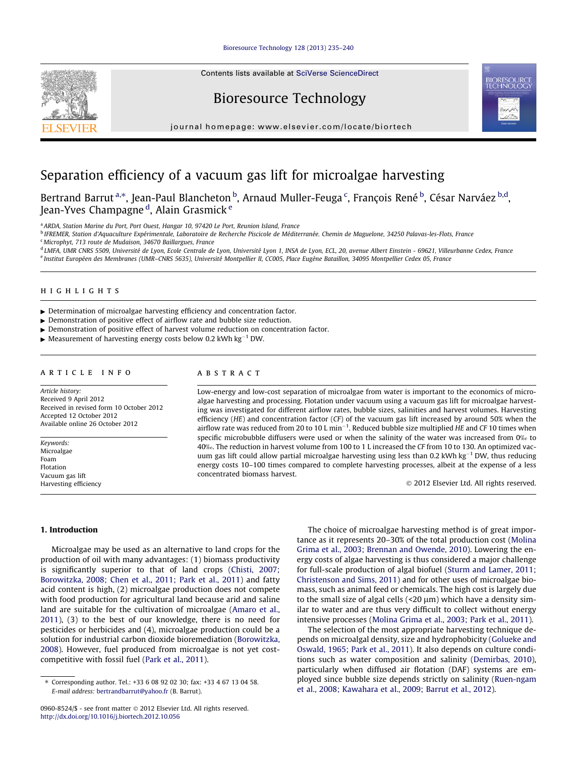# [Bioresource Technology 128 \(2013\) 235–240](http://dx.doi.org/10.1016/j.biortech.2012.10.056)

Contents lists available at [SciVerse ScienceDirect](http://www.sciencedirect.com/science/journal/09608524)

# Bioresource Technology

journal homepage: [www.elsevier.com/locate/biortech](http://www.elsevier.com/locate/biortech)

# Separation efficiency of a vacuum gas lift for microalgae harvesting

Bertrand Barrut <sup>a,</sup>\*, Jean-Paul Blancheton <sup>b</sup>, Arnaud Muller-Feuga <sup>c</sup>, François René <sup>b</sup>, César Narváez <sup>b,d</sup>, Jean-Yves Champagne <sup>d</sup>, Alain Grasmick <sup>e</sup>

<sup>a</sup> ARDA, Station Marine du Port, Port Ouest, Hangar 10, 97420 Le Port, Reunion Island, France

<sup>b</sup> IFREMER, Station d'Aquaculture Expérimentale, Laboratoire de Recherche Piscicole de Méditerranée. Chemin de Maguelone, 34250 Palavas-les-Flots, France <sup>c</sup> Microphyt, 713 route de Mudaison, 34670 Baillargues, France

<sup>d</sup> LMFA, UMR CNRS 5509, Université de Lyon, Ecole Centrale de Lyon, Université Lyon 1, INSA de Lyon, ECL, 20, avenue Albert Einstein - 69621, Villeurbanne Cedex, France <sup>e</sup> Institut Européen des Membranes (UMR–CNRS 5635), Université Montpellier II, CC005, Place Eugène Bataillon, 34095 Montpellier Cedex 05, France

# highlights

- Determination of microalgae harvesting efficiency and concentration factor.
- $\blacktriangleright$  Demonstration of positive effect of airflow rate and bubble size reduction.
- $\triangleright$  Demonstration of positive effect of harvest volume reduction on concentration factor.
- $\blacktriangleright$  Measurement of harvesting energy costs below 0.2 kWh kg<sup>-1</sup> DW.

# article info

Article history: Received 9 April 2012 Received in revised form 10 October 2012 Accepted 12 October 2012 Available online 26 October 2012

Keywords: Microalgae Foam Flotation Vacuum gas lift Harvesting efficiency

# **ABSTRACT**

Low-energy and low-cost separation of microalgae from water is important to the economics of microalgae harvesting and processing. Flotation under vacuum using a vacuum gas lift for microalgae harvesting was investigated for different airflow rates, bubble sizes, salinities and harvest volumes. Harvesting efficiency (HE) and concentration factor (CF) of the vacuum gas lift increased by around 50% when the airflow rate was reduced from 20 to 10 L min<sup>-1</sup>. Reduced bubble size multiplied HE and CF 10 times when specific microbubble diffusers were used or when the salinity of the water was increased from 0% to 40‰. The reduction in harvest volume from 100 to 1 L increased the CF from 10 to 130. An optimized vacuum gas lift could allow partial microalgae harvesting using less than 0.2 kWh kg<sup>-1</sup> DW, thus reducing energy costs 10–100 times compared to complete harvesting processes, albeit at the expense of a less concentrated biomass harvest.

 $©$  2012 Elsevier Ltd. All rights reserved.

# 1. Introduction

Microalgae may be used as an alternative to land crops for the production of oil with many advantages: (1) biomass productivity is significantly superior to that of land crops ([Chisti, 2007;](#page-5-0) [Borowitzka, 2008; Chen et al., 2011; Park et al., 2011](#page-5-0)) and fatty acid content is high, (2) microalgae production does not compete with food production for agricultural land because arid and saline land are suitable for the cultivation of microalgae ([Amaro et al.,](#page-5-0) [2011\)](#page-5-0), (3) to the best of our knowledge, there is no need for pesticides or herbicides and (4), microalgae production could be a solution for industrial carbon dioxide bioremediation ([Borowitzka,](#page-5-0) [2008](#page-5-0)). However, fuel produced from microalgae is not yet costcompetitive with fossil fuel ([Park et al., 2011](#page-5-0)).

The choice of microalgae harvesting method is of great importance as it represents 20–30% of the total production cost [\(Molina](#page-5-0) [Grima et al., 2003; Brennan and Owende, 2010](#page-5-0)). Lowering the energy costs of algae harvesting is thus considered a major challenge for full-scale production of algal biofuel ([Sturm and Lamer, 2011;](#page-5-0) [Christenson and Sims, 2011\)](#page-5-0) and for other uses of microalgae biomass, such as animal feed or chemicals. The high cost is largely due to the small size of algal cells ( $\langle 20 \mu m \rangle$  which have a density similar to water and are thus very difficult to collect without energy intensive processes ([Molina Grima et al., 2003; Park et al., 2011\)](#page-5-0).

The selection of the most appropriate harvesting technique depends on microalgal density, size and hydrophobicity ([Golueke and](#page-5-0) [Oswald, 1965; Park et al., 2011\)](#page-5-0). It also depends on culture conditions such as water composition and salinity ([Demirbas, 2010\)](#page-5-0), particularly when diffused air flotation (DAF) systems are employed since bubble size depends strictly on salinity ([Ruen-ngam](#page-5-0) [et al., 2008; Kawahara et al., 2009; Barrut et al., 2012\)](#page-5-0).





<sup>⇑</sup> Corresponding author. Tel.: +33 6 08 92 02 30; fax: +33 4 67 13 04 58. E-mail address: [bertrandbarrut@yahoo.fr](mailto:bertrandbarrut@yahoo.fr) (B. Barrut).

<sup>0960-8524/\$ -</sup> see front matter @ 2012 Elsevier Ltd. All rights reserved. <http://dx.doi.org/10.1016/j.biortech.2012.10.056>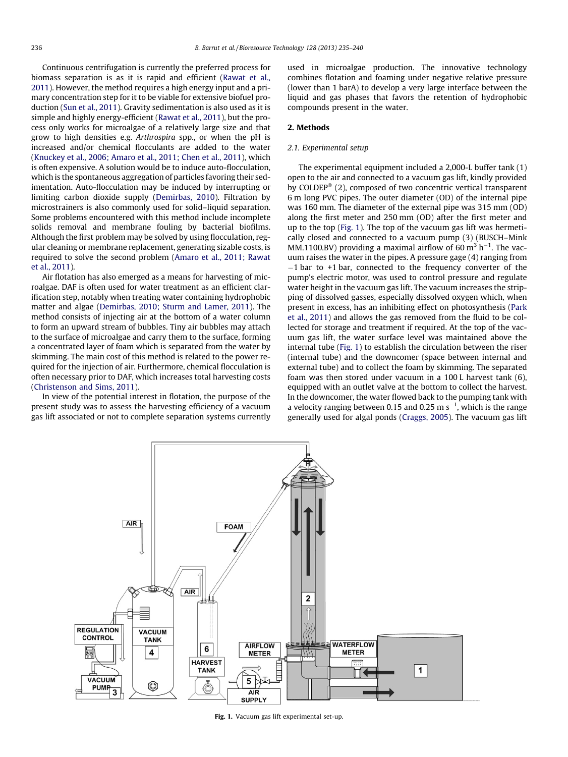Continuous centrifugation is currently the preferred process for biomass separation is as it is rapid and efficient ([Rawat et al.,](#page-5-0) [2011\)](#page-5-0). However, the method requires a high energy input and a primary concentration step for it to be viable for extensive biofuel production [\(Sun et al., 2011](#page-5-0)). Gravity sedimentation is also used as it is simple and highly energy-efficient [\(Rawat et al., 2011](#page-5-0)), but the process only works for microalgae of a relatively large size and that grow to high densities e.g. Arthrospira spp., or when the pH is increased and/or chemical flocculants are added to the water ([Knuckey et al., 2006; Amaro et al., 2011; Chen et al., 2011](#page-5-0)), which is often expensive. A solution would be to induce auto-flocculation, which is the spontaneous aggregation of particles favoring their sedimentation. Auto-flocculation may be induced by interrupting or limiting carbon dioxide supply ([Demirbas, 2010](#page-5-0)). Filtration by microstrainers is also commonly used for solid–liquid separation. Some problems encountered with this method include incomplete solids removal and membrane fouling by bacterial biofilms. Although the first problem may be solved by using flocculation, regular cleaning or membrane replacement, generating sizable costs, is required to solve the second problem [\(Amaro et al., 2011; Rawat](#page-5-0) [et al., 2011\)](#page-5-0).

Air flotation has also emerged as a means for harvesting of microalgae. DAF is often used for water treatment as an efficient clarification step, notably when treating water containing hydrophobic matter and algae ([Demirbas, 2010; Sturm and Lamer, 2011\)](#page-5-0). The method consists of injecting air at the bottom of a water column to form an upward stream of bubbles. Tiny air bubbles may attach to the surface of microalgae and carry them to the surface, forming a concentrated layer of foam which is separated from the water by skimming. The main cost of this method is related to the power required for the injection of air. Furthermore, chemical flocculation is often necessary prior to DAF, which increases total harvesting costs ([Christenson and Sims, 2011](#page-5-0)).

In view of the potential interest in flotation, the purpose of the present study was to assess the harvesting efficiency of a vacuum gas lift associated or not to complete separation systems currently used in microalgae production. The innovative technology combines flotation and foaming under negative relative pressure (lower than 1 barA) to develop a very large interface between the liquid and gas phases that favors the retention of hydrophobic compounds present in the water.

# 2. Methods

# 2.1. Experimental setup

The experimental equipment included a 2,000-L buffer tank (1) open to the air and connected to a vacuum gas lift, kindly provided by COLDEP®  $(2)$ , composed of two concentric vertical transparent 6 m long PVC pipes. The outer diameter (OD) of the internal pipe was 160 mm. The diameter of the external pipe was 315 mm (OD) along the first meter and 250 mm (OD) after the first meter and up to the top (Fig. 1). The top of the vacuum gas lift was hermetically closed and connected to a vacuum pump (3) (BUSCH–Mink MM.1100.BV) providing a maximal airflow of 60  $m^3$  h<sup>-1</sup>. The vacuum raises the water in the pipes. A pressure gage (4) ranging from  $-1$  bar to  $+1$  bar, connected to the frequency converter of the pump's electric motor, was used to control pressure and regulate water height in the vacuum gas lift. The vacuum increases the stripping of dissolved gasses, especially dissolved oxygen which, when present in excess, has an inhibiting effect on photosynthesis [\(Park](#page-5-0) [et al., 2011](#page-5-0)) and allows the gas removed from the fluid to be collected for storage and treatment if required. At the top of the vacuum gas lift, the water surface level was maintained above the internal tube (Fig. 1) to establish the circulation between the riser (internal tube) and the downcomer (space between internal and external tube) and to collect the foam by skimming. The separated foam was then stored under vacuum in a 100 L harvest tank (6), equipped with an outlet valve at the bottom to collect the harvest. In the downcomer, the water flowed back to the pumping tank with a velocity ranging between 0.15 and 0.25 m  $s^{-1}$ , which is the range generally used for algal ponds ([Craggs, 2005](#page-5-0)). The vacuum gas lift



Fig. 1. Vacuum gas lift experimental set-up.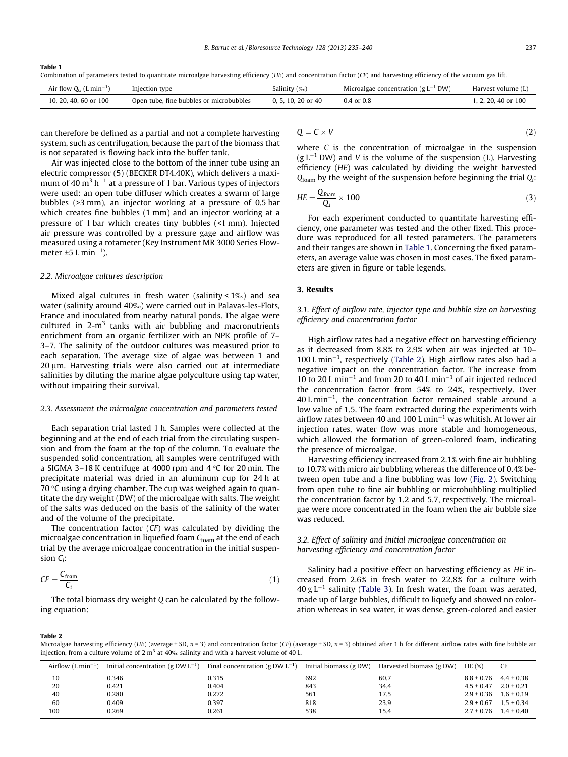Table 1 Combination of parameters tested to quantitate microalgae harvesting efficiency (HE) and concentration factor (CF) and harvesting efficiency of the vacuum gas lift.

| Air flow $Q_C$ (L min <sup>-1)</sup> | Injection type                          | Salinity $(\%_0)$  | Microalgae concentration (g $L^{-1}$ DW) | Harvest volume (L)  |
|--------------------------------------|-----------------------------------------|--------------------|------------------------------------------|---------------------|
|                                      |                                         |                    |                                          |                     |
| 10, 20, 40, 60 or 100                | Open tube, fine bubbles or microbubbles | 0, 5, 10, 20 or 40 | $0.4 \text{ or } 0.8$                    | 1, 2, 20, 40 or 100 |

can therefore be defined as a partial and not a complete harvesting system, such as centrifugation, because the part of the biomass that is not separated is flowing back into the buffer tank.

Air was injected close to the bottom of the inner tube using an electric compressor (5) (BECKER DT4.40K), which delivers a maximum of 40  $\mathrm{m}^3$  h<sup>-1</sup> at a pressure of 1 bar. Various types of injectors were used: an open tube diffuser which creates a swarm of large bubbles (>3 mm), an injector working at a pressure of 0.5 bar which creates fine bubbles (1 mm) and an injector working at a pressure of 1 bar which creates tiny bubbles (<1 mm). Injected air pressure was controlled by a pressure gage and airflow was measured using a rotameter (Key Instrument MR 3000 Series Flowmeter  $\pm 5$  L min<sup>-1</sup>).

#### 2.2. Microalgae cultures description

Mixed algal cultures in fresh water (salinity < 1‰) and sea water (salinity around 40‰) were carried out in Palavas-les-Flots, France and inoculated from nearby natural ponds. The algae were cultured in  $2-m^3$  tanks with air bubbling and macronutrients enrichment from an organic fertilizer with an NPK profile of 7– 3–7. The salinity of the outdoor cultures was measured prior to each separation. The average size of algae was between 1 and  $20 \mu$ m. Harvesting trials were also carried out at intermediate salinities by diluting the marine algae polyculture using tap water, without impairing their survival.

# 2.3. Assessment the microalgae concentration and parameters tested

Each separation trial lasted 1 h. Samples were collected at the beginning and at the end of each trial from the circulating suspension and from the foam at the top of the column. To evaluate the suspended solid concentration, all samples were centrifuged with a SIGMA 3–18 K centrifuge at 4000 rpm and  $4^{\circ}$ C for 20 min. The precipitate material was dried in an aluminum cup for 24 h at 70  $\degree$ C using a drying chamber. The cup was weighed again to quantitate the dry weight (DW) of the microalgae with salts. The weight of the salts was deduced on the basis of the salinity of the water and of the volume of the precipitate.

The concentration factor (CF) was calculated by dividing the microalgae concentration in liquefied foam  $C_{\text{foam}}$  at the end of each trial by the average microalgae concentration in the initial suspension  $C_i$ :

$$
CF = \frac{C_{\text{foam}}}{C_i} \tag{1}
$$

The total biomass dry weight Q can be calculated by the following equation:

$$
Q = C \times V \tag{2}
$$

where C is the concentration of microalgae in the suspension  $(g L^{-1} DW)$  and V is the volume of the suspension (L). Harvesting efficiency (HE) was calculated by dividing the weight harvested  $Q_{\text{foam}}$  by the weight of the suspension before beginning the trial  $Q_i$ :

$$
HE = \frac{Q_{\text{foam}}}{Q_i} \times 100\tag{3}
$$

For each experiment conducted to quantitate harvesting efficiency, one parameter was tested and the other fixed. This procedure was reproduced for all tested parameters. The parameters and their ranges are shown in Table 1. Concerning the fixed parameters, an average value was chosen in most cases. The fixed parameters are given in figure or table legends.

# 3. Results

# 3.1. Effect of airflow rate, injector type and bubble size on harvesting efficiency and concentration factor

High airflow rates had a negative effect on harvesting efficiency as it decreased from 8.8% to 2.9% when air was injected at 10–  $100$  L min<sup>-1</sup>, respectively (Table 2). High airflow rates also had a negative impact on the concentration factor. The increase from 10 to 20 L min<sup>-1</sup> and from 20 to 40 L min<sup>-1</sup> of air injected reduced the concentration factor from 54% to 24%, respectively. Over  $40$  L min<sup>-1</sup>, the concentration factor remained stable around a low value of 1.5. The foam extracted during the experiments with airflow rates between 40 and 100 L min<sup>-1</sup> was whitish. At lower air injection rates, water flow was more stable and homogeneous, which allowed the formation of green-colored foam, indicating the presence of microalgae.

Harvesting efficiency increased from 2.1% with fine air bubbling to 10.7% with micro air bubbling whereas the difference of 0.4% between open tube and a fine bubbling was low [\(Fig. 2](#page-3-0)). Switching from open tube to fine air bubbling or microbubbling multiplied the concentration factor by 1.2 and 5.7, respectively. The microalgae were more concentrated in the foam when the air bubble size was reduced.

# 3.2. Effect of salinity and initial microalgae concentration on harvesting efficiency and concentration factor

Salinity had a positive effect on harvesting efficiency as HE increased from 2.6% in fresh water to 22.8% for a culture with  $40 g L^{-1}$  salinity [\(Table 3\)](#page-3-0). In fresh water, the foam was aerated, made up of large bubbles, difficult to liquefy and showed no coloration whereas in sea water, it was dense, green-colored and easier

Table 2

Microalgae harvesting efficiency (HE) (average ± SD, n = 3) and concentration factor (CF) (average ± SD, n = 3) obtained after 1 h for different airflow rates with fine bubble air injection, from a culture volume of 2 m<sup>3</sup> at 40‰ salinity and with a harvest volume of 40 L.

| Airflow $(L \text{ min}^{-1})$ | Initial concentration (g DW $L^{-1}$ ) | Final concentration (g DW $L^{-1}$ ) | Initial biomass (g DW) | Harvested biomass (g DW) | $HE$ (%)       | CF             |
|--------------------------------|----------------------------------------|--------------------------------------|------------------------|--------------------------|----------------|----------------|
| 10                             | 0.346                                  | 0.315                                | 692                    | 60.7                     | $8.8 \pm 0.76$ | $4.4 \pm 0.38$ |
| 20                             | 0.421                                  | 0.404                                | 843                    | 34.4                     | $4.5 \pm 0.47$ | $2.0 \pm 0.21$ |
| 40                             | 0.280                                  | 0.272                                | 561                    | 17.5                     | $2.9 \pm 0.36$ | $1.6 \pm 0.19$ |
| 60                             | 0.409                                  | 0.397                                | 818                    | 23.9                     | $2.9 \pm 0.67$ | $1.5 \pm 0.34$ |
| 100                            | 0.269                                  | 0.261                                | 538                    | 15.4                     | $2.7 \pm 0.76$ | $1.4 \pm 0.40$ |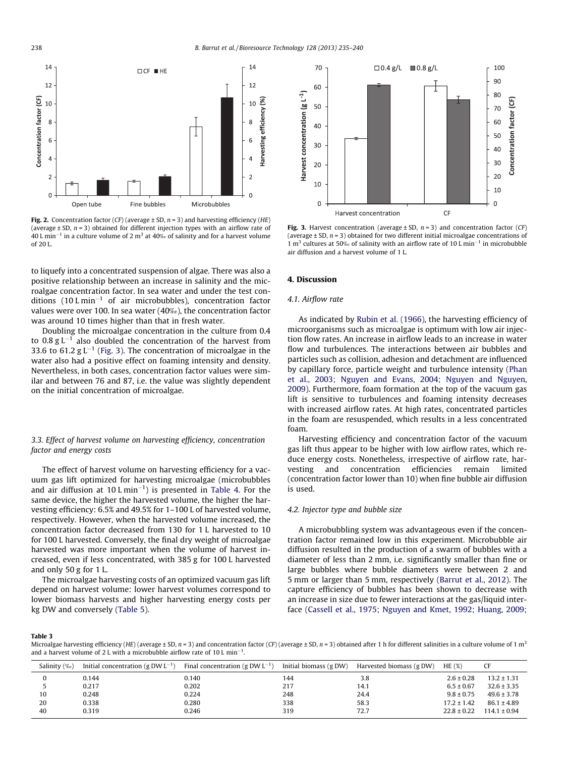<span id="page-3-0"></span>

**Fig. 2.** Concentration factor (CF) (average  $\pm$  SD,  $n = 3$ ) and harvesting efficiency (HE) (average  $\pm$  SD,  $n = 3$ ) obtained for different injection types with an airflow rate of 40 L min<sup>-1</sup> in a culture volume of 2 m<sup>3</sup> at 40‰ of salinity and for a harvest volume of 20 L.

to liquefy into a concentrated suspension of algae. There was also a positive relationship between an increase in salinity and the microalgae concentration factor. In sea water and under the test conditions  $(10 \text{ L min}^{-1}$  of air microbubbles), concentration factor values were over 100. In sea water (40‰), the concentration factor was around 10 times higher than that in fresh water.

Doubling the microalgae concentration in the culture from 0.4 to  $0.8 \text{ g L}^{-1}$  also doubled the concentration of the harvest from 33.6 to 61.2 g  $L^{-1}$  (Fig. 3). The concentration of microalgae in the water also had a positive effect on foaming intensity and density. Nevertheless, in both cases, concentration factor values were similar and between 76 and 87, i.e. the value was slightly dependent on the initial concentration of microalgae.

# 3.3. Effect of harvest volume on harvesting efficiency, concentration factor and energy costs

The effect of harvest volume on harvesting efficiency for a vacuum gas lift optimized for harvesting microalgae (microbubbles and air diffusion at 10 L min<sup>-1</sup>) is presented in [Table 4](#page-4-0). For the same device, the higher the harvested volume, the higher the harvesting efficiency: 6.5% and 49.5% for 1–100 L of harvested volume, respectively. However, when the harvested volume increased, the concentration factor decreased from 130 for 1 L harvested to 10 for 100 L harvested. Conversely, the final dry weight of microalgae harvested was more important when the volume of harvest increased, even if less concentrated, with 385 g for 100 L harvested and only 50 g for 1 L.

The microalgae harvesting costs of an optimized vacuum gas lift depend on harvest volume: lower harvest volumes correspond to lower biomass harvests and higher harvesting energy costs per kg DW and conversely [\(Table 5\)](#page-4-0).



Fig. 3. Harvest concentration (average  $\pm$  SD,  $n = 3$ ) and concentration factor (CF) (average  $\pm$  SD,  $n = 3$ ) obtained for two different initial microalgae concentrations of 1 m<sup>3</sup> cultures at 50‰ of salinity with an airflow rate of 10 L min<sup>-1</sup> in microbubble air diffusion and a harvest volume of 1 L.

#### 4. Discussion

# 4.1. Airflow rate

As indicated by [Rubin et al. \(1966\)](#page-5-0), the harvesting efficiency of microorganisms such as microalgae is optimum with low air injection flow rates. An increase in airflow leads to an increase in water flow and turbulences. The interactions between air bubbles and particles such as collision, adhesion and detachment are influenced by capillary force, particle weight and turbulence intensity [\(Phan](#page-5-0) [et al., 2003; Nguyen and Evans, 2004; Nguyen and Nguyen,](#page-5-0) [2009\)](#page-5-0). Furthermore, foam formation at the top of the vacuum gas lift is sensitive to turbulences and foaming intensity decreases with increased airflow rates. At high rates, concentrated particles in the foam are resuspended, which results in a less concentrated foam.

Harvesting efficiency and concentration factor of the vacuum gas lift thus appear to be higher with low airflow rates, which reduce energy costs. Nonetheless, irrespective of airflow rate, harvesting and concentration efficiencies remain limited (concentration factor lower than 10) when fine bubble air diffusion is used.

# 4.2. Injector type and bubble size

A microbubbling system was advantageous even if the concentration factor remained low in this experiment. Microbubble air diffusion resulted in the production of a swarm of bubbles with a diameter of less than 2 mm, i.e. significantly smaller than fine or large bubbles where bubble diameters were between 2 and 5 mm or larger than 5 mm, respectively [\(Barrut et al., 2012\)](#page-5-0). The capture efficiency of bubbles has been shown to decrease with an increase in size due to fewer interactions at the gas/liquid interface [\(Cassell et al., 1975; Nguyen and Kmet, 1992; Huang, 2009;](#page-5-0)

Table 3

Microalgae harvesting efficiency (HE) (average ± SD,  $n = 3$ ) and concentration factor (CF) (average ± SD,  $n = 3$ ) obtained after 1 h for different salinities in a culture volume of 1 m<sup>3</sup> and a harvest volume of 2 L with a microbubble airflow rate of 10 L min<sup>-1</sup>.

| Salinity $(\%_0)$ | Initial concentration (g DW $L^{-1}$ ) | Final concentration (g DW $L^{-1}$ ) | Initial biomass (g DW) | Harvested biomass (g DW) | HE(%)           |                  |
|-------------------|----------------------------------------|--------------------------------------|------------------------|--------------------------|-----------------|------------------|
| 0                 | 0.144                                  | 0.140                                | 144                    | 3.8                      | $2.6 \pm 0.28$  | $13.2 \pm 1.31$  |
|                   | 0.217                                  | 0.202                                | 217                    | 14.1                     | $6.5 \pm 0.67$  | $32.6 \pm 3.35$  |
| 10                | 0.248                                  | 0.224                                | 248                    | 24.4                     | $9.8 \pm 0.75$  | $49.6 \pm 3.78$  |
| 20                | 0.338                                  | 0.280                                | 338                    | 58.3                     | $17.2 \pm 1.42$ | $86.1 \pm 4.89$  |
| 40                | 0.319                                  | 0.246                                | 319                    | 72.7                     | $22.8 \pm 0.22$ | $114.1 \pm 0.94$ |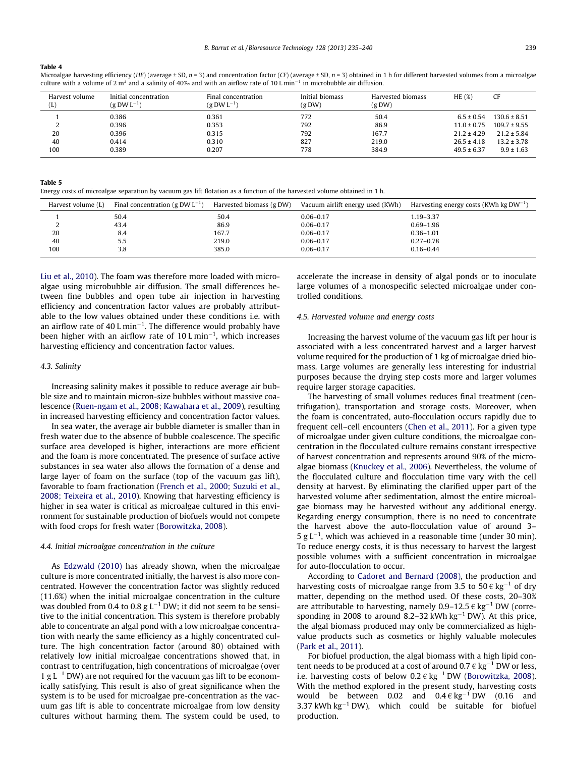#### <span id="page-4-0"></span>Table 4

Microalgae harvesting efficiency (HE) (average ± SD,  $n = 3$ ) and concentration factor (CF) (average ± SD,  $n = 3$ ) obtained in 1 h for different harvested volumes from a microalgae culture with a volume of 2 m<sup>3</sup> and a salinity of 40‰ and with an airflow rate of 10 L min<sup>-1</sup> in microbubble air diffusion.

| Harvest volume<br>(L) | Initial concentration<br>$(g DW L^{-1})$ | Final concentration<br>$(g DW L^{-1})$ | Initial biomass<br>(g DW) | Harvested biomass<br>(g DW) | HE(%)           | CF               |
|-----------------------|------------------------------------------|----------------------------------------|---------------------------|-----------------------------|-----------------|------------------|
|                       | 0.386                                    | 0.361                                  | 772                       | 50.4                        | $6.5 \pm 0.54$  | $130.6 \pm 8.51$ |
|                       | 0.396                                    | 0.353                                  | 792                       | 86.9                        | $11.0 \pm 0.75$ | $109.7 \pm 9.55$ |
| 20                    | 0.396                                    | 0.315                                  | 792                       | 167.7                       | $21.2 \pm 4.29$ | $21.2 \pm 5.84$  |
| 40                    | 0.414                                    | 0.310                                  | 827                       | 219.0                       | $26.5 \pm 4.18$ | $13.2 \pm 3.78$  |
| 100                   | 0.389                                    | 0.207                                  | 778                       | 384.9                       | $49.5 \pm 6.37$ | $9.9 \pm 1.63$   |

#### Table 5

Energy costs of microalgae separation by vacuum gas lift flotation as a function of the harvested volume obtained in 1 h.

| Final concentration (g DW $L^{-1}$ ) | Harvested biomass (g DW) | Vacuum airlift energy used (KWh) | Harvesting energy costs (KWh kg $DW^{-1}$ ) |
|--------------------------------------|--------------------------|----------------------------------|---------------------------------------------|
| 50.4                                 | 50.4                     | $0.06 - 0.17$                    | $1.19 - 3.37$                               |
| 43.4                                 | 86.9                     | $0.06 - 0.17$                    | $0.69 - 1.96$                               |
| 8.4                                  | 167.7                    | $0.06 - 0.17$                    | $0.36 - 1.01$                               |
| 5.5                                  | 219.0                    | $0.06 - 0.17$                    | $0.27 - 0.78$                               |
| 3.8                                  | 385.0                    | $0.06 - 0.17$                    | $0.16 - 0.44$                               |
|                                      |                          |                                  |                                             |

[Liu et al., 2010](#page-5-0)). The foam was therefore more loaded with microalgae using microbubble air diffusion. The small differences between fine bubbles and open tube air injection in harvesting efficiency and concentration factor values are probably attributable to the low values obtained under these conditions i.e. with an airflow rate of 40 L min<sup>-1</sup>. The difference would probably have been higher with an airflow rate of  $10 \,$ L min<sup> $-1$ </sup>, which increases harvesting efficiency and concentration factor values.

#### 4.3. Salinity

Increasing salinity makes it possible to reduce average air bubble size and to maintain micron-size bubbles without massive coalescence [\(Ruen-ngam et al., 2008; Kawahara et al., 2009\)](#page-5-0), resulting in increased harvesting efficiency and concentration factor values.

In sea water, the average air bubble diameter is smaller than in fresh water due to the absence of bubble coalescence. The specific surface area developed is higher, interactions are more efficient and the foam is more concentrated. The presence of surface active substances in sea water also allows the formation of a dense and large layer of foam on the surface (top of the vacuum gas lift), favorable to foam fractionation ([French et al., 2000; Suzuki et al.,](#page-5-0) [2008; Teixeira et al., 2010\)](#page-5-0). Knowing that harvesting efficiency is higher in sea water is critical as microalgae cultured in this environment for sustainable production of biofuels would not compete with food crops for fresh water [\(Borowitzka, 2008\)](#page-5-0).

# 4.4. Initial microalgae concentration in the culture

As [Edzwald \(2010\)](#page-5-0) has already shown, when the microalgae culture is more concentrated initially, the harvest is also more concentrated. However the concentration factor was slightly reduced (11.6%) when the initial microalgae concentration in the culture was doubled from 0.4 to 0.8 g  $L^{-1}$  DW; it did not seem to be sensitive to the initial concentration. This system is therefore probably able to concentrate an algal pond with a low microalgae concentration with nearly the same efficiency as a highly concentrated culture. The high concentration factor (around 80) obtained with relatively low initial microalgae concentrations showed that, in contrast to centrifugation, high concentrations of microalgae (over 1 g  $L^{-1}$  DW) are not required for the vacuum gas lift to be economically satisfying. This result is also of great significance when the system is to be used for microalgae pre-concentration as the vacuum gas lift is able to concentrate microalgae from low density cultures without harming them. The system could be used, to accelerate the increase in density of algal ponds or to inoculate large volumes of a monospecific selected microalgae under controlled conditions.

# 4.5. Harvested volume and energy costs

Increasing the harvest volume of the vacuum gas lift per hour is associated with a less concentrated harvest and a larger harvest volume required for the production of 1 kg of microalgae dried biomass. Large volumes are generally less interesting for industrial purposes because the drying step costs more and larger volumes require larger storage capacities.

The harvesting of small volumes reduces final treatment (centrifugation), transportation and storage costs. Moreover, when the foam is concentrated, auto-flocculation occurs rapidly due to frequent cell–cell encounters [\(Chen et al., 2011\)](#page-5-0). For a given type of microalgae under given culture conditions, the microalgae concentration in the flocculated culture remains constant irrespective of harvest concentration and represents around 90% of the microalgae biomass ([Knuckey et al., 2006](#page-5-0)). Nevertheless, the volume of the flocculated culture and flocculation time vary with the cell density at harvest. By eliminating the clarified upper part of the harvested volume after sedimentation, almost the entire microalgae biomass may be harvested without any additional energy. Regarding energy consumption, there is no need to concentrate the harvest above the auto-flocculation value of around 3–  $5 g L^{-1}$ , which was achieved in a reasonable time (under 30 min). To reduce energy costs, it is thus necessary to harvest the largest possible volumes with a sufficient concentration in microalgae for auto-flocculation to occur.

According to [Cadoret and Bernard \(2008\)](#page-5-0), the production and harvesting costs of microalgae range from 3.5 to 50  $\epsilon$  kg<sup>-1</sup> of dry matter, depending on the method used. Of these costs, 20–30% are attributable to harvesting, namely  $0.9-12.5 \in \text{kg}^{-1}$  DW (corresponding in 2008 to around 8.2-32 kWh  $kg^{-1}$  DW). At this price, the algal biomass produced may only be commercialized as highvalue products such as cosmetics or highly valuable molecules ([Park et al., 2011](#page-5-0)).

For biofuel production, the algal biomass with a high lipid content needs to be produced at a cost of around  $0.7 \in \text{kg}^{-1}$  DW or less, i.e. harvesting costs of below  $0.2 \in \text{kg}^{-1}$  DW [\(Borowitzka, 2008\)](#page-5-0). With the method explored in the present study, harvesting costs would be between 0.02 and  $0.4 \in \text{kg}^{-1}$  DW (0.16 and 3.37 kWh kg<sup>-1</sup> DW), which could be suitable for biofuel production.